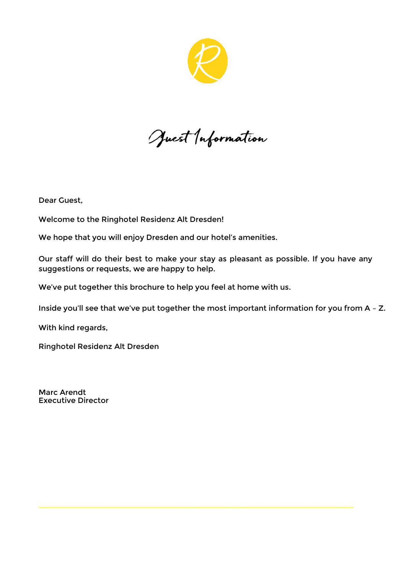

Juest Information

Dear Guest,

Welcome to the Ringhotel Residenz Alt Dresden!

We hope that you will enjoy Dresden and our hotel's amenities.

Our staff will do their best to make your stay as pleasant as possible. If you have any suggestions or requests, we are happy to help.

We've put together this brochure to help you feel at home with us.

Inside you'll see that we've put together the most important information for you from A – Z.

With kind regards,

**Ringhotel Residenz Alt Dresden** 

Marc Arendt Executive Director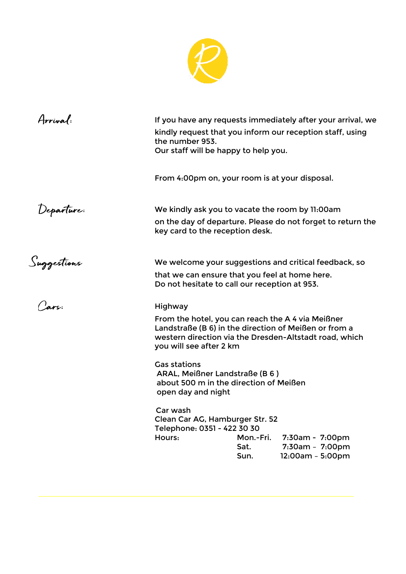

| Arrival:    | If you have any requests immediately after your arrival, we<br>kindly request that you inform our reception staff, using<br>the number 953.<br>Our staff will be happy to help you.                                                                                                                                                                              |                           |                                                                                                                    |
|-------------|------------------------------------------------------------------------------------------------------------------------------------------------------------------------------------------------------------------------------------------------------------------------------------------------------------------------------------------------------------------|---------------------------|--------------------------------------------------------------------------------------------------------------------|
|             | From 4:00pm on, your room is at your disposal.                                                                                                                                                                                                                                                                                                                   |                           |                                                                                                                    |
| Departure:  | We kindly ask you to vacate the room by 11:00am<br>key card to the reception desk.                                                                                                                                                                                                                                                                               |                           | on the day of departure. Please do not forget to return the                                                        |
| Suggestions | We welcome your suggestions and critical feedback, so<br>that we can ensure that you feel at home here.<br>Do not hesitate to call our reception at 953.                                                                                                                                                                                                         |                           |                                                                                                                    |
| ars:        | Highway<br>From the hotel, you can reach the A4 via Meißner<br>Landstraße (B 6) in the direction of Meißen or from a<br>you will see after 2 km<br><b>Gas stations</b><br>ARAL, Meißner Landstraße (B 6)<br>about 500 m in the direction of Meißen<br>open day and night<br>Car wash<br>Clean Car AG, Hamburger Str. 52<br>Telephone: 0351 - 422 30 30<br>Hours: | Mon.-Fri.<br>Sat.<br>Sun. | western direction via the Dresden-Altstadt road, which<br>7:30am - 7:00pm<br>7:30am - 7:00pm<br>$12:00am - 5:00pm$ |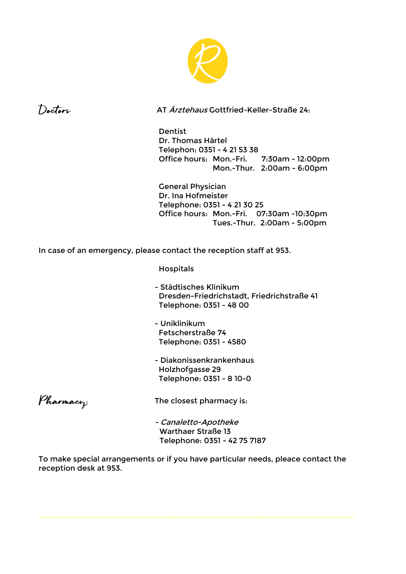



AT Ärztehaus Gottfried-Keller-Straße 24:

 **Dentist**  Dr. Thomas Härtel Telephon: 0351 - 4 21 53 38 Office hours: Mon.-Fri. 7:30am - 12:00pm Mon.-Thur. 2:00am - 6:00pm

 **General Physician** Dr. Ina Hofmeister Telephone: 0351 - 4 21 30 25 Office hours: Mon.-Fri. 07:30am -10:30pm Tues.-Thur. 2:00am - 5:00pm

**In case of an emergency, please contact the reception staff at 953.** 

**Hospitals** 

- Städtisches Klinikum Dresden-Friedrichstadt, Friedrichstraße 41 Telephone: 0351 - 48 00
- Uniklinikum Fetscherstraße 74 Telephone: 0351 - 4580
- Diakonissenkrankenhaus Holzhofgasse 29 Telephone: 0351 - 8 10-0

Pharmacy

The closest pharmacy is:

 - Canaletto-Apotheke Warthaer Straße 13 Telephone: 0351 - 42 75 7187

To make special arrangements or if you have particular needs, pleace contact the reception desk at 953.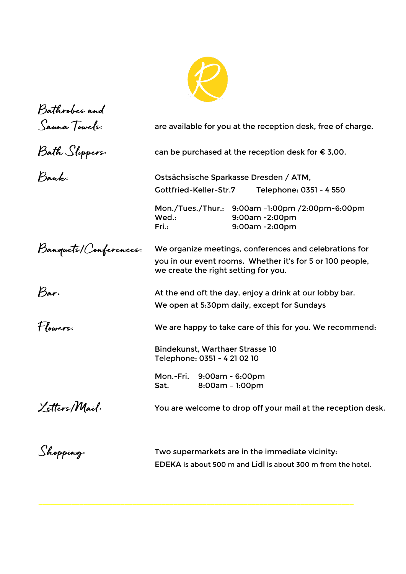

| Bathrobes and         |                                                                                                                                                             |  |  |
|-----------------------|-------------------------------------------------------------------------------------------------------------------------------------------------------------|--|--|
| Sauna Towels:         | are available for you at the reception desk, free of charge.                                                                                                |  |  |
| Bath Slippers.        | can be purchased at the reception desk for $\epsilon$ 3,00.                                                                                                 |  |  |
| Bank:                 | Ostsächsische Sparkasse Dresden / ATM,                                                                                                                      |  |  |
|                       | Gottfried-Keller-Str.7<br>Telephone: 0351 - 4 550                                                                                                           |  |  |
|                       | Mon./Tues./Thur.: 9:00am -1:00pm /2:00pm-6:00pm<br>Wed.:<br>9:00am -2:00pm<br>Fri.:<br>9:00am -2:00pm                                                       |  |  |
| Banquets/Conferences: | We organize meetings, conferences and celebrations for<br>you in our event rooms. Whether it's for 5 or 100 people,<br>we create the right setting for you. |  |  |
| Bar:                  | At the end oft the day, enjoy a drink at our lobby bar.                                                                                                     |  |  |
|                       | We open at 5:30pm daily, except for Sundays                                                                                                                 |  |  |
| Flowers:              | We are happy to take care of this for you. We recommend:                                                                                                    |  |  |
|                       | Bindekunst, Warthaer Strasse 10<br>Telephone: 0351 - 4 21 02 10                                                                                             |  |  |
|                       | Mon.-Fri. 9:00am - 6:00pm<br>Sat.<br>$8:00am - 1:00pm$                                                                                                      |  |  |
| Letters/Mail:         | You are welcome to drop off your mail at the reception desk.                                                                                                |  |  |
| Shopping:             | Two supermarkets are in the immediate vicinity:                                                                                                             |  |  |
|                       | EDEKA is about 500 m and Lidl is about 300 m from the hotel.                                                                                                |  |  |
|                       |                                                                                                                                                             |  |  |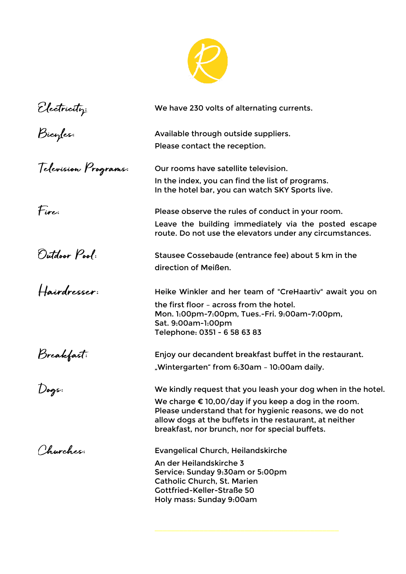

| Electricity:<br>Bicyles: | We have 230 volts of alternating currents.                                                                                                                                                                                                                                                            |
|--------------------------|-------------------------------------------------------------------------------------------------------------------------------------------------------------------------------------------------------------------------------------------------------------------------------------------------------|
|                          | Available through outside suppliers.<br>Please contact the reception.                                                                                                                                                                                                                                 |
| Television Programs:     | Our rooms have satellite television.<br>In the index, you can find the list of programs.<br>In the hotel bar, you can watch SKY Sports live.                                                                                                                                                          |
| Fire:                    | Please observe the rules of conduct in your room.<br>Leave the building immediately via the posted escape<br>route. Do not use the elevators under any circumstances.                                                                                                                                 |
| Outdoor Pool:            | Stausee Cossebaude (entrance fee) about 5 km in the<br>direction of Meißen.                                                                                                                                                                                                                           |
| Hairdresser:             | Heike Winkler and her team of "CreHaartiv" await you on<br>the first floor - across from the hotel.<br>Mon. 1:00pm-7:00pm, Tues.-Fri. 9:00am-7:00pm,<br>Sat. 9:00am-1:00pm<br>Telephone: 0351 - 6 58 63 83                                                                                            |
| Breakfast:               | Enjoy our decandent breakfast buffet in the restaurant.<br>"Wintergarten" from 6:30am - 10:00am daily.                                                                                                                                                                                                |
| Dogs:                    | We kindly request that you leash your dog when in the hotel.<br>We charge $\epsilon$ 10,00/day if you keep a dog in the room.<br>Please understand that for hygienic reasons, we do not<br>allow dogs at the buffets in the restaurant, at neither<br>breakfast, nor brunch, nor for special buffets. |
| Churches:                | <b>Evangelical Church, Heilandskirche</b><br>An der Heilandskirche 3<br>Service: Sunday 9:30am or 5:00pm<br><b>Catholic Church, St. Marien</b><br>Gottfried-Keller-Straße 50<br>Holy mass: Sunday 9:00am                                                                                              |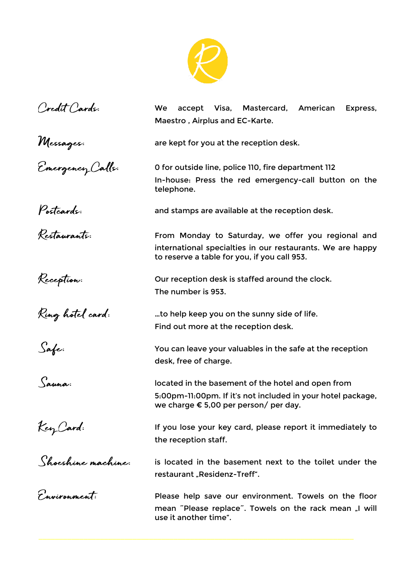

| Credit Cards:                 | accept Visa, Mastercard,<br>American<br><b>We</b><br>Express,                                                                                                       |  |  |  |  |
|-------------------------------|---------------------------------------------------------------------------------------------------------------------------------------------------------------------|--|--|--|--|
|                               | Maestro, Airplus and EC-Karte.                                                                                                                                      |  |  |  |  |
| Messages:<br>Emergency Calls: | are kept for you at the reception desk.                                                                                                                             |  |  |  |  |
|                               | O for outside line, police 110, fire department 112<br>In-house: Press the red emergency-call button on the<br>telephone.                                           |  |  |  |  |
| Postcards:<br>Restaurants:    | and stamps are available at the reception desk.                                                                                                                     |  |  |  |  |
|                               | From Monday to Saturday, we offer you regional and<br>international specialties in our restaurants. We are happy<br>to reserve a table for you, if you call 953.    |  |  |  |  |
| Reception:                    | Our reception desk is staffed around the clock.<br>The number is 953.                                                                                               |  |  |  |  |
| Ring hotel card:              | to help keep you on the sunny side of life<br>Find out more at the reception desk.                                                                                  |  |  |  |  |
| Safe:                         | You can leave your valuables in the safe at the reception<br>desk, free of charge.                                                                                  |  |  |  |  |
| Sauna:                        | located in the basement of the hotel and open from<br>5:00pm-11:00pm. If it's not included in your hotel package,<br>we charge $\epsilon$ 5,00 per person/ per day. |  |  |  |  |
| Key Card:                     | If you lose your key card, please report it immediately to<br>the reception staff.                                                                                  |  |  |  |  |
| Shoeshine machine:            | is located in the basement next to the toilet under the<br>restaurant "Residenz-Treff".                                                                             |  |  |  |  |
| Environment:                  | Please help save our environment. Towels on the floor<br>mean "Please replace". Towels on the rack mean "I will<br>use it another time".                            |  |  |  |  |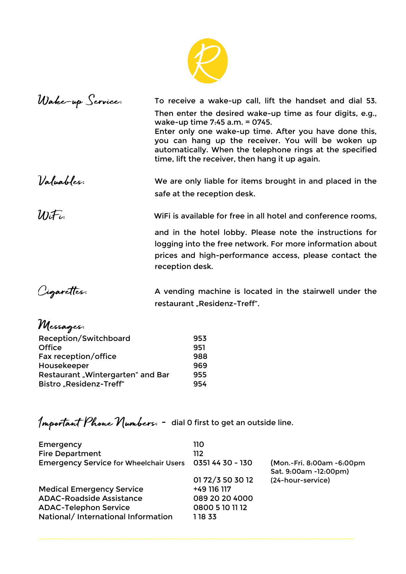

| Wake-up Service: | To receive a wake-up call, lift the handset and dial 53.                                                                                                                                                                                                                                                                   |
|------------------|----------------------------------------------------------------------------------------------------------------------------------------------------------------------------------------------------------------------------------------------------------------------------------------------------------------------------|
|                  | Then enter the desired wake-up time as four digits, e.g.,<br>wake-up time 7:45 a.m. = 0745.<br>Enter only one wake-up time. After you have done this,<br>you can hang up the receiver. You will be woken up<br>automatically. When the telephone rings at the specified<br>time, lift the receiver, then hang it up again. |
| Valuables:       | We are only liable for items brought in and placed in the<br>safe at the reception desk.                                                                                                                                                                                                                                   |
| $W_i$ Fi         | WiFi is available for free in all hotel and conference rooms,                                                                                                                                                                                                                                                              |
|                  | and in the hotel lobby. Please note the instructions for<br>logging into the free network. For more information about<br>prices and high-performance access, please contact the<br>reception desk.                                                                                                                         |

Cigarettes:

A vending machine is located in the stairwell under the restaurant "Residenz-Treff".

| Messages:                         |     |
|-----------------------------------|-----|
| Reception/Switchboard             | 953 |
| Office                            | 951 |
| Fax reception/office              | 988 |
| Housekeeper                       | 969 |
| Restaurant "Wintergarten" and Bar | 955 |
| Bistro "Residenz-Treff"           | 954 |

Important Phone Numbers: - dial 0 first to get an outside line.

| Emergency<br><b>Fire Department</b>           | 110<br>112       |                                                    |
|-----------------------------------------------|------------------|----------------------------------------------------|
| <b>Emergency Service for Wheelchair Users</b> | 0351 44 30 - 130 | (Mon.-Fri. 8:00am -6:00pm<br>Sat. 9:00am -12:00pm) |
|                                               | 01 72/3 50 30 12 | (24-hour-service)                                  |
| <b>Medical Emergency Service</b>              | +49 116 117      |                                                    |
| <b>ADAC-Roadside Assistance</b>               | 089 20 20 4000   |                                                    |
| <b>ADAC-Telephon Service</b>                  | 0800 5 10 11 12  |                                                    |
| National/ International Information           | 1 18 33          |                                                    |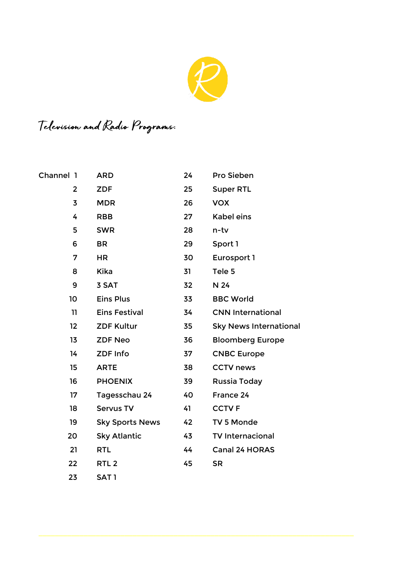

## Television and Radio Programs.

| Channel 1    | <b>ARD</b>             | 24 | Pro Sieben                    |
|--------------|------------------------|----|-------------------------------|
| $\mathbf{2}$ | <b>ZDF</b>             | 25 | <b>Super RTL</b>              |
| 3            | <b>MDR</b>             | 26 | <b>VOX</b>                    |
| 4            | <b>RBB</b>             | 27 | <b>Kabel eins</b>             |
| 5            | <b>SWR</b>             | 28 | n-tv                          |
| 6            | <b>BR</b>              | 29 | Sport 1                       |
| 7            | <b>HR</b>              | 30 | Eurosport 1                   |
| 8            | <b>Kika</b>            | 31 | Tele 5                        |
| 9            | 3 SAT                  | 32 | N 24                          |
| 10           | <b>Eins Plus</b>       | 33 | <b>BBC World</b>              |
| 11           | <b>Eins Festival</b>   | 34 | <b>CNN International</b>      |
| 12           | <b>ZDF Kultur</b>      | 35 | <b>Sky News International</b> |
| 13           | <b>ZDF Neo</b>         | 36 | <b>Bloomberg Europe</b>       |
| 14           | <b>ZDF Info</b>        | 37 | <b>CNBC Europe</b>            |
| 15           | <b>ARTE</b>            | 38 | <b>CCTV news</b>              |
| 16           | <b>PHOENIX</b>         | 39 | Russia Today                  |
| 17           | Tagesschau 24          | 40 | France 24                     |
| 18           | <b>Servus TV</b>       | 41 | <b>CCTVF</b>                  |
| 19           | <b>Sky Sports News</b> | 42 | TV 5 Monde                    |
| 20           | <b>Sky Atlantic</b>    | 43 | <b>TV Internacional</b>       |
| 21           | <b>RTL</b>             | 44 | <b>Canal 24 HORAS</b>         |
| 22           | RTL <sub>2</sub>       | 45 | <b>SR</b>                     |
| 23           | SAT <sub>1</sub>       |    |                               |